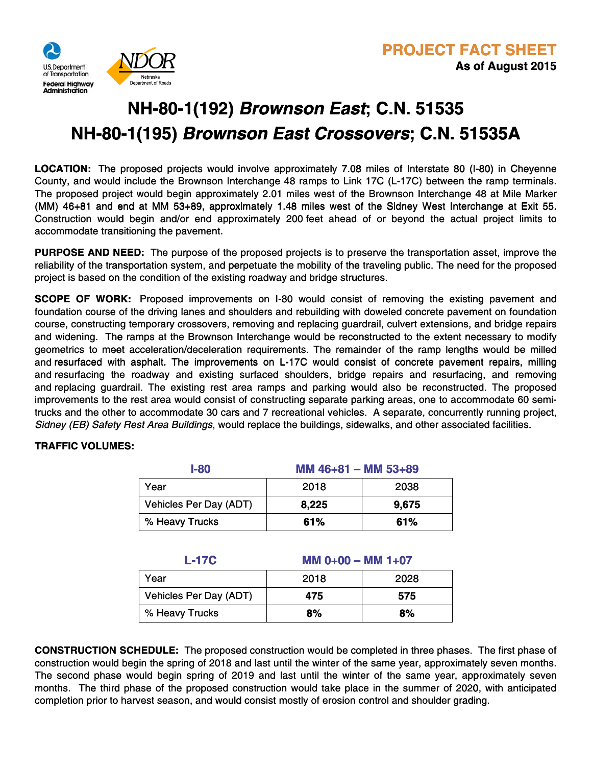

## **NH-80-1(192)** *Brownson East***; C.N. 51535 51535 NH-80-1(195)** *Brownson East Crossovers***; C.N. 51535A NH-80 80-1(195) 51535A**

**LOCATION:** The proposed projects would involve approximately 7.08 miles of Interstate 80 (I-80) in Cheyenne County, and would include the Brownson Interchange 48 ramps to Link 17C (L-17C) between the ramp terminals. The proposed project would begin approximately 2.01 miles west of the Brownson Interchange 48 at Mile Marker (MM)  $46+81$  and end at MM 53+89, approximately 1.48 miles west of the Sidney West Interchange at Exit 55. Construction would begin and/or end approximately 200 feet ahead of or beyond the actual project limits to accommodate transitioning the pavement.

**PURPOSE AND NEED:** The purpose of the proposed projects is to preserve the transportation asset, improve the reliability of the transportation system, and perpetuate the mobility of the traveling public. The need for the proposed project is based on the condition of the existing roadway and bridge structures.

**SCOPE OF WORK:** Proposed improvements on I-80 would consist of removing the existing pavement and **SCOPE OF WORK:** Proposed improvements on I-80 would consist of removing the existing pavement and<br>foundation course of the driving lanes and shoulders and rebuilding with doweled concrete pavement on foundation course, constructing temporary crossovers, removing and replacing guardrail, culvert extensions, and bridge repairs and widening. The ramps at the Brownson Interchange would be reconstructed to the extent necessary to modify geometrics to meet acceleration/deceleration requirements. The remainder of the ramp lengths would be milled and resurfaced with asphalt. The improvements on L-17C would consist of concrete pavement repairs, milling and resurfacing the roadway and existing surfaced shoulders, bridge repairs and resurfacing, and removing and replacing guardrail. The existing rest area ramps and parking would also be reconstructed. The proposed improvements to the rest area would consist of constructing separate parking areas, one to accommodate 60 semiimprovements to the rest area would consist of constructing separate parking areas, one to accommodate 60 semi-<br>trucks and the other to accommodate 30 cars and 7 recreational vehicles. A separate, concurrently running pro Sidney (EB) Safety Rest Area Buildings, would replace the buildings, sidewalks, and other associated facilities. hs would be milled<br>ient repairs, milling<br>:ing, and removing ntly running project,<br>ated facilities.

## **TRAFFIC VOLUMES: TRAFFI OVC LU EM :SE**

| $I-80$                 | MM $46+81$ – MM $53+89$ |       |
|------------------------|-------------------------|-------|
| Year                   | 2018                    | 2038  |
| Vehicles Per Day (ADT) | 8,225                   | 9,675 |
| % Heavy Trucks         | 61%                     | 61%   |

| <b>L-17C</b>           | $MM$ 0+00 - MM 1+07 |      |
|------------------------|---------------------|------|
| Year                   | 2018                | 2028 |
| Vehicles Per Day (ADT) | 475                 | 575  |
| % Heavy Trucks         | 8%                  | 8%   |

**CONSTRUCTION SCHEDULE:** The proposed construction would be completed in three phases. The first phase of construction would begin the spring of 2018 and last until the winter of the same year, approximately seven months. The second phase would begin spring of 2019 and last until the winter of the same year, approximately seven months. The third phase of the proposed construction would take place in the summer of 2020, with anticipated completion prior to harvest season, and would consist mostly of erosion control and shoulder grading.